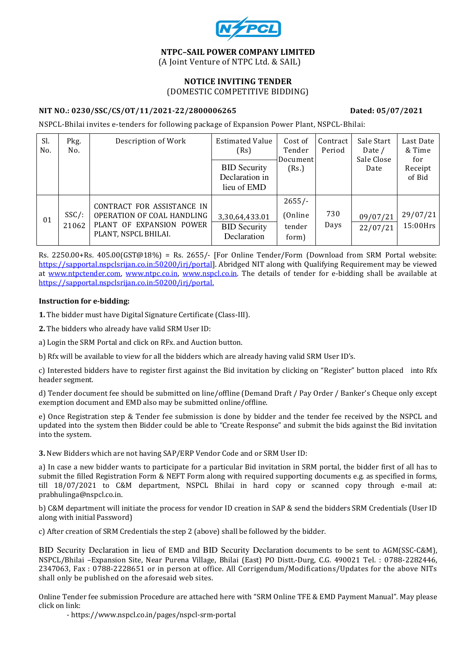

## NTPC–SAIL POWER COMPANY LIMITED (A Joint Venture of NTPC Ltd. & SAIL)

## NOTICE INVITING TENDER (DOMESTIC COMPETITIVE BIDDING)

## NIT NO.: 0230/SSC/CS/OT/11/2021-22/2800006265 Dated: 05/07/2021

NSPCL-Bhilai invites e-tenders for following package of Expansion Power Plant, NSPCL-Bhilai:

| Sl.<br>No. | Pkg.<br>No.       | Description of Work                                                                                          | <b>Estimated Value</b><br>(Rs)                       | Cost of<br>Tender<br>Document           | Contract<br>Period | Sale Start<br>Date /<br>Sale Close | Last Date<br>& Time<br>for |
|------------|-------------------|--------------------------------------------------------------------------------------------------------------|------------------------------------------------------|-----------------------------------------|--------------------|------------------------------------|----------------------------|
|            |                   |                                                                                                              | <b>BID Security</b><br>Declaration in<br>lieu of EMD | (Rs.)                                   |                    | Date                               | Receipt<br>of Bid          |
| 01         | $SSC/$ :<br>21062 | CONTRACT FOR ASSISTANCE IN<br>OPERATION OF COAL HANDLING<br>PLANT OF EXPANSION POWER<br>PLANT, NSPCL BHILAI. | 3,30,64,433.01<br><b>BID Security</b><br>Declaration | $2655/-$<br>(Online)<br>tender<br>form) | 730<br>Days        | 09/07/21<br>22/07/21               | 29/07/21<br>15:00Hrs       |

Rs. 2250.00+Rs. 405.00(GST@18%) = Rs. 2655/- [For Online Tender/Form (Download from SRM Portal website: https://sapportal.nspclsrijan.co.in:50200/irj/portal]. Abridged NIT along with Qualifying Requirement may be viewed at www.ntpctender.com, www.ntpc.co.in, www.nspcl.co.in. The details of tender for e-bidding shall be available at https://sapportal.nspclsrijan.co.in:50200/irj/portal.

#### Instruction for e-bidding:

1. The bidder must have Digital Signature Certificate (Class-III).

2. The bidders who already have valid SRM User ID:

a) Login the SRM Portal and click on RFx. and Auction button.

b) Rfx will be available to view for all the bidders which are already having valid SRM User ID's.

c) Interested bidders have to register first against the Bid invitation by clicking on "Register" button placed into Rfx header segment.

d) Tender document fee should be submitted on line/offline (Demand Draft / Pay Order / Banker's Cheque only except exemption document and EMD also may be submitted online/offline.

e) Once Registration step & Tender fee submission is done by bidder and the tender fee received by the NSPCL and updated into the system then Bidder could be able to "Create Response" and submit the bids against the Bid invitation into the system.

3. New Bidders which are not having SAP/ERP Vendor Code and or SRM User ID:

a) In case a new bidder wants to participate for a particular Bid invitation in SRM portal, the bidder first of all has to submit the filled Registration Form & NEFT Form along with required supporting documents e.g. as specified in forms, till 18/07/2021 to C&M department, NSPCL Bhilai in hard copy or scanned copy through e-mail at: prabhulinga@nspcl.co.in.

b) C&M department will initiate the process for vendor ID creation in SAP & send the bidders SRM Credentials (User ID along with initial Password)

c) After creation of SRM Credentials the step 2 (above) shall be followed by the bidder.

BID Security Declaration in lieu of EMD and BID Security Declaration documents to be sent to AGM(SSC-C&M), NSPCL/Bhilai –Expansion Site, Near Purena Village, Bhilai (East) PO Distt.-Durg, C.G. 490021 Tel. : 0788-2282446, 2347063, Fax : 0788-2228651 or in person at office. All Corrigendum/Modifications/Updates for the above NITs shall only be published on the aforesaid web sites.

Online Tender fee submission Procedure are attached here with "SRM Online TFE & EMD Payment Manual". May please click on link:

- https://www.nspcl.co.in/pages/nspcl-srm-portal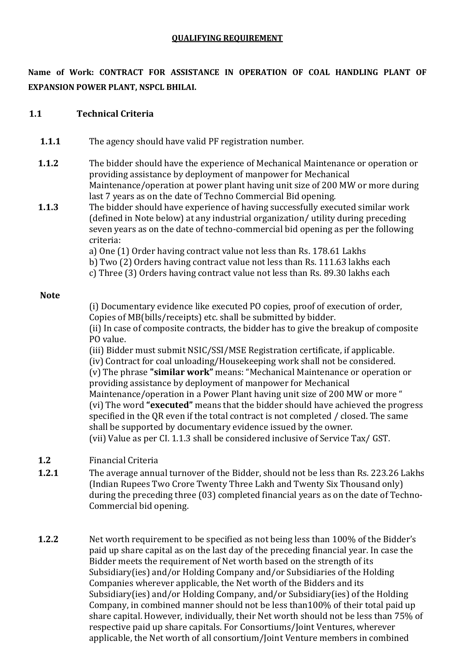# QUALIFYING REQUIREMENT

Name of Work: CONTRACT FOR ASSISTANCE IN OPERATION OF COAL HANDLING PLANT OF EXPANSION POWER PLANT, NSPCL BHILAI.

# 1.1 Technical Criteria

- 1.1.1 The agency should have valid PF registration number.
- 1.1.2 The bidder should have the experience of Mechanical Maintenance or operation or providing assistance by deployment of manpower for Mechanical Maintenance/operation at power plant having unit size of 200 MW or more during last 7 years as on the date of Techno Commercial Bid opening.
- 1.1.3 The bidder should have experience of having successfully executed similar work (defined in Note below) at any industrial organization/ utility during preceding seven years as on the date of techno-commercial bid opening as per the following criteria:

a) One (1) Order having contract value not less than Rs. 178.61 Lakhs

- b) Two (2) Orders having contract value not less than Rs. 111.63 lakhs each
- c) Three (3) Orders having contract value not less than Rs. 89.30 lakhs each

# Note

(i) Documentary evidence like executed PO copies, proof of execution of order, Copies of MB(bills/receipts) etc. shall be submitted by bidder. (ii) In case of composite contracts, the bidder has to give the breakup of composite PO value.

(iii) Bidder must submit NSIC/SSI/MSE Registration certificate, if applicable. (iv) Contract for coal unloading/Housekeeping work shall not be considered. (v) The phrase "similar work" means: "Mechanical Maintenance or operation or providing assistance by deployment of manpower for Mechanical Maintenance/operation in a Power Plant having unit size of 200 MW or more " (vi) The word "executed" means that the bidder should have achieved the progress specified in the QR even if the total contract is not completed / closed. The same shall be supported by documentary evidence issued by the owner. (vii) Value as per CI. 1.1.3 shall be considered inclusive of Service Tax/ GST.

# 1.2 Financial Criteria

- 1.2.1 The average annual turnover of the Bidder, should not be less than Rs. 223.26 Lakhs (Indian Rupees Two Crore Twenty Three Lakh and Twenty Six Thousand only) during the preceding three (03) completed financial years as on the date of Techno-Commercial bid opening.
- 1.2.2 Net worth requirement to be specified as not being less than 100% of the Bidder's paid up share capital as on the last day of the preceding financial year. In case the Bidder meets the requirement of Net worth based on the strength of its Subsidiary(ies) and/or Holding Company and/or Subsidiaries of the Holding Companies wherever applicable, the Net worth of the Bidders and its Subsidiary(ies) and/or Holding Company, and/or Subsidiary(ies) of the Holding Company, in combined manner should not be less than100% of their total paid up share capital. However, individually, their Net worth should not be less than 75% of respective paid up share capitals. For Consortiums/Joint Ventures, wherever applicable, the Net worth of all consortium/Joint Venture members in combined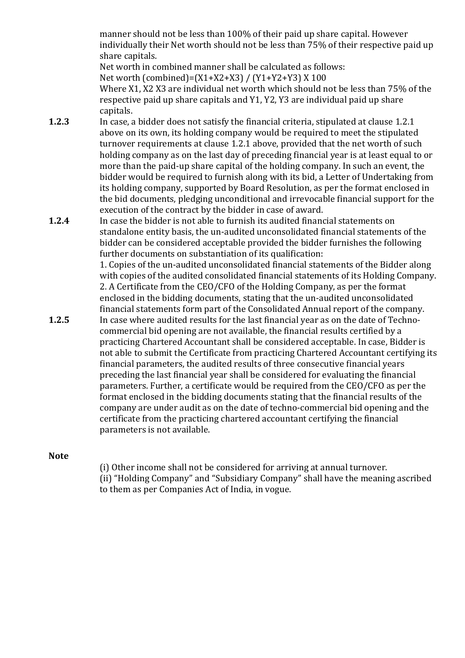manner should not be less than 100% of their paid up share capital. However individually their Net worth should not be less than 75% of their respective paid up share capitals.

Net worth in combined manner shall be calculated as follows: Net worth (combined)=(X1+X2+X3) / (Y1+Y2+Y3) X 100

Where X1, X2 X3 are individual net worth which should not be less than 75% of the respective paid up share capitals and Y1, Y2, Y3 are individual paid up share capitals.

- 1.2.3 In case, a bidder does not satisfy the financial criteria, stipulated at clause 1.2.1 above on its own, its holding company would be required to meet the stipulated turnover requirements at clause 1.2.1 above, provided that the net worth of such holding company as on the last day of preceding financial year is at least equal to or more than the paid-up share capital of the holding company. In such an event, the bidder would be required to furnish along with its bid, a Letter of Undertaking from its holding company, supported by Board Resolution, as per the format enclosed in the bid documents, pledging unconditional and irrevocable financial support for the execution of the contract by the bidder in case of award.
- 1.2.4 In case the bidder is not able to furnish its audited financial statements on standalone entity basis, the un-audited unconsolidated financial statements of the bidder can be considered acceptable provided the bidder furnishes the following further documents on substantiation of its qualification:

1. Copies of the un-audited unconsolidated financial statements of the Bidder along with copies of the audited consolidated financial statements of its Holding Company. 2. A Certificate from the CEO/CFO of the Holding Company, as per the format enclosed in the bidding documents, stating that the un-audited unconsolidated financial statements form part of the Consolidated Annual report of the company.

1.2.5 In case where audited results for the last financial year as on the date of Technocommercial bid opening are not available, the financial results certified by a practicing Chartered Accountant shall be considered acceptable. In case, Bidder is not able to submit the Certificate from practicing Chartered Accountant certifying its financial parameters, the audited results of three consecutive financial years preceding the last financial year shall be considered for evaluating the financial parameters. Further, a certificate would be required from the CEO/CFO as per the format enclosed in the bidding documents stating that the financial results of the company are under audit as on the date of techno-commercial bid opening and the certificate from the practicing chartered accountant certifying the financial parameters is not available.

## **Note**

(i) Other income shall not be considered for arriving at annual turnover. (ii) "Holding Company" and "Subsidiary Company" shall have the meaning ascribed to them as per Companies Act of India, in vogue.